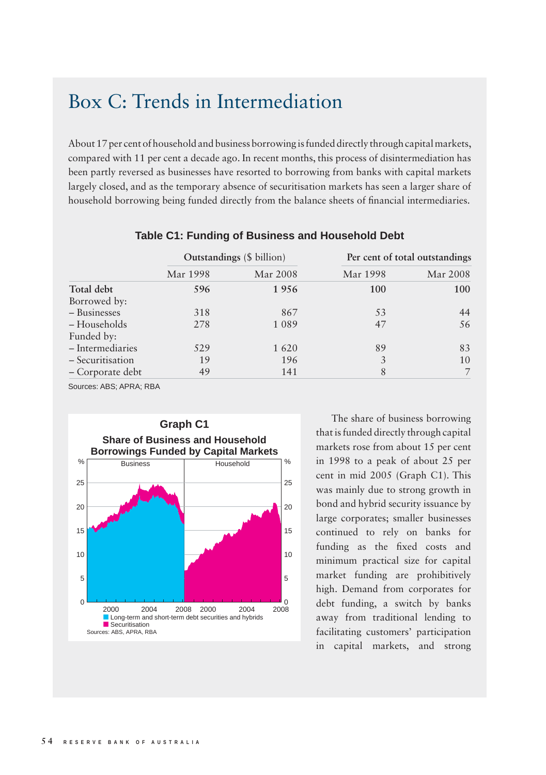## Box C: Trends in Intermediation

About 17 per cent of household and business borrowing is funded directly through capital markets, compared with 11 per cent a decade ago. In recent months, this process of disintermediation has been partly reversed as businesses have resorted to borrowing from banks with capital markets largely closed, and as the temporary absence of securitisation markets has seen a larger share of household borrowing being funded directly from the balance sheets of financial intermediaries.

|                  | <b>Outstandings</b> (\$ billion) |          | Per cent of total outstandings |          |
|------------------|----------------------------------|----------|--------------------------------|----------|
|                  | Mar 1998                         | Mar 2008 | Mar 1998                       | Mar 2008 |
| Total debt       | 596                              | 1956     | 100                            | 100      |
| Borrowed by:     |                                  |          |                                |          |
| - Businesses     | 318                              | 867      | 53                             | 44       |
| - Households     | 278                              | 1089     | 47                             | 56       |
| Funded by:       |                                  |          |                                |          |
| - Intermediaries | 529                              | 1620     | 89                             | 83       |
| - Securitisation | 19                               | 196      | 3                              | 10       |
| - Corporate debt | 49                               | 141      | 8                              |          |

## **Table C1: Funding of Business and Household Debt**

Sources: ABS; APRA; RBA



The share of business borrowing that is funded directly through capital markets rose from about 15 per cent in 1998 to a peak of about 25 per cent in mid 2005 (Graph C1). This was mainly due to strong growth in bond and hybrid security issuance by large corporates; smaller businesses continued to rely on banks for funding as the fixed costs and minimum practical size for capital market funding are prohibitively high. Demand from corporates for debt funding, a switch by banks away from traditional lending to facilitating customers' participation in capital markets, and strong